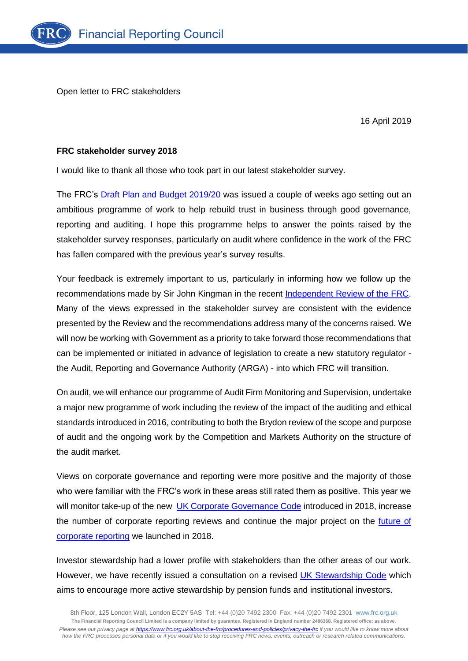Open letter to FRC stakeholders

16 April 2019

## **FRC stakeholder survey 2018**

I would like to thank all those who took part in our latest stakeholder survey.

The FRC's [Draft Plan and Budget 2019/20](https://intranet.frc.org.uk/medialibraries/Intranet/Intranet-Document-Library/Consultation-Draft-FRC-Plan-and-Budget-2019-20-(March-2019).pdf) was issued a couple of weeks ago setting out an ambitious programme of work to help rebuild trust in business through good governance, reporting and auditing. I hope this programme helps to answer the points raised by the stakeholder survey responses, particularly on audit where confidence in the work of the FRC has fallen compared with the previous year's survey results.

Your feedback is extremely important to us, particularly in informing how we follow up the recommendations made by Sir John Kingman in the recent [Independent Review of the FRC.](https://www.gov.uk/government/news/independent-review-of-the-financial-reporting-council-frc-launches-report) Many of the views expressed in the stakeholder survey are consistent with the evidence presented by the Review and the recommendations address many of the concerns raised. We will now be working with Government as a priority to take forward those recommendations that can be implemented or initiated in advance of legislation to create a new statutory regulator the Audit, Reporting and Governance Authority (ARGA) - into which FRC will transition.

On audit, we will enhance our programme of Audit Firm Monitoring and Supervision, undertake a major new programme of work including the review of the impact of the auditing and ethical standards introduced in 2016, contributing to both the Brydon review of the scope and purpose of audit and the ongoing work by the Competition and Markets Authority on the structure of the audit market.

Views on corporate governance and reporting were more positive and the majority of those who were familiar with the FRC's work in these areas still rated them as positive. This year we will monitor take-up of the new [UK Corporate Governance Code](https://www.frc.org.uk/directors/corporate-governance-and-stewardship/uk-corporate-governance-code) introduced in 2018, increase the number of corporate reporting reviews and continue the major project on the *future of* [corporate reporting](https://www.frc.org.uk/news/october-2018/frc-to-examine-the-future-of-corporate-reporting) we launched in 2018.

Investor stewardship had a lower profile with stakeholders than the other areas of our work. However, we have recently issued a consultation on a revised [UK Stewardship Code](https://www.frc.org.uk/investors/uk-stewardship-code) which aims to encourage more active stewardship by pension funds and institutional investors.